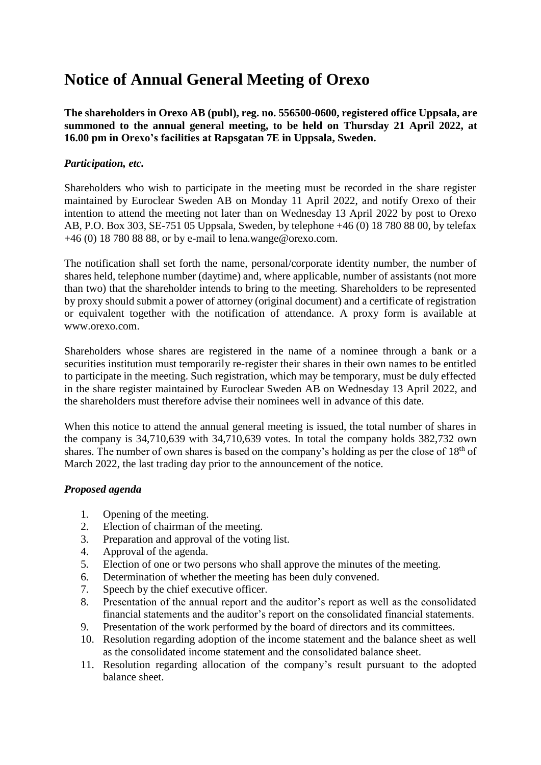# **Notice of Annual General Meeting of Orexo**

**The shareholders in Orexo AB (publ), reg. no. 556500-0600, registered office Uppsala, are summoned to the annual general meeting, to be held on Thursday 21 April 2022, at 16.00 pm in Orexo's facilities at Rapsgatan 7E in Uppsala, Sweden.**

## *Participation, etc.*

Shareholders who wish to participate in the meeting must be recorded in the share register maintained by Euroclear Sweden AB on Monday 11 April 2022, and notify Orexo of their intention to attend the meeting not later than on Wednesday 13 April 2022 by post to Orexo AB, P.O. Box 303, SE-751 05 Uppsala, Sweden, by telephone +46 (0) 18 780 88 00, by telefax +46 (0) 18 780 88 88, or by e-mail to lena.wange@orexo.com.

The notification shall set forth the name, personal/corporate identity number, the number of shares held, telephone number (daytime) and, where applicable, number of assistants (not more than two) that the shareholder intends to bring to the meeting. Shareholders to be represented by proxy should submit a power of attorney (original document) and a certificate of registration or equivalent together with the notification of attendance. A proxy form is available at [www.orexo.com.](http://www.orexo.com/)

Shareholders whose shares are registered in the name of a nominee through a bank or a securities institution must temporarily re-register their shares in their own names to be entitled to participate in the meeting. Such registration, which may be temporary, must be duly effected in the share register maintained by Euroclear Sweden AB on Wednesday 13 April 2022, and the shareholders must therefore advise their nominees well in advance of this date.

When this notice to attend the annual general meeting is issued, the total number of shares in the company is 34,710,639 with 34,710,639 votes. In total the company holds 382,732 own shares. The number of own shares is based on the company's holding as per the close of 18<sup>th</sup> of March 2022, the last trading day prior to the announcement of the notice.

#### *Proposed agenda*

- 1. Opening of the meeting.
- 2. Election of chairman of the meeting.
- 3. Preparation and approval of the voting list.
- 4. Approval of the agenda.
- 5. Election of one or two persons who shall approve the minutes of the meeting.
- 6. Determination of whether the meeting has been duly convened.
- 7. Speech by the chief executive officer.
- 8. Presentation of the annual report and the auditor's report as well as the consolidated financial statements and the auditor's report on the consolidated financial statements.
- 9. Presentation of the work performed by the board of directors and its committees.
- 10. Resolution regarding adoption of the income statement and the balance sheet as well as the consolidated income statement and the consolidated balance sheet.
- 11. Resolution regarding allocation of the company's result pursuant to the adopted balance sheet.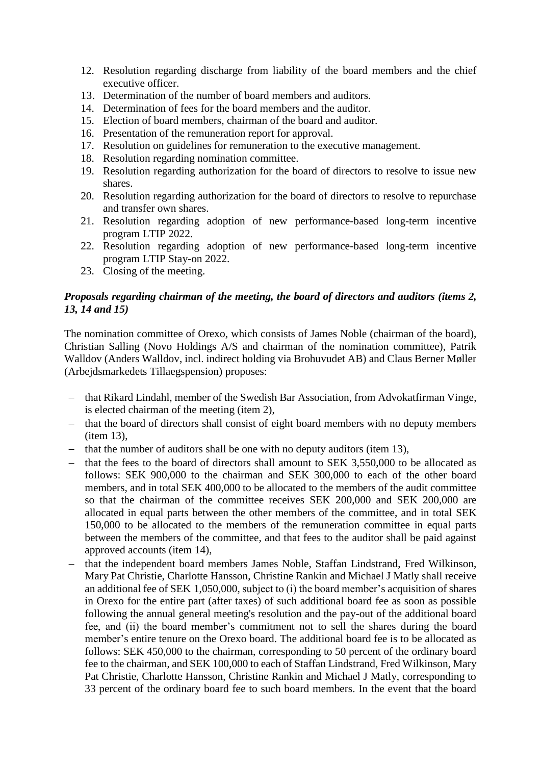- 12. Resolution regarding discharge from liability of the board members and the chief executive officer.
- 13. Determination of the number of board members and auditors.
- 14. Determination of fees for the board members and the auditor.
- 15. Election of board members, chairman of the board and auditor.
- 16. Presentation of the remuneration report for approval.
- 17. Resolution on guidelines for remuneration to the executive management.
- 18. Resolution regarding nomination committee.
- 19. Resolution regarding authorization for the board of directors to resolve to issue new shares.
- 20. Resolution regarding authorization for the board of directors to resolve to repurchase and transfer own shares.
- 21. Resolution regarding adoption of new performance-based long-term incentive program LTIP 2022.
- 22. Resolution regarding adoption of new performance-based long-term incentive program LTIP Stay-on 2022.
- 23. Closing of the meeting.

# *Proposals regarding chairman of the meeting, the board of directors and auditors (items 2, 13, 14 and 15)*

The nomination committee of Orexo, which consists of James Noble (chairman of the board), Christian Salling (Novo Holdings A/S and chairman of the nomination committee), Patrik Walldov (Anders Walldov, incl. indirect holding via Brohuvudet AB) and Claus Berner Møller (Arbejdsmarkedets Tillaegspension) proposes:

- that Rikard Lindahl, member of the Swedish Bar Association, from Advokatfirman Vinge, is elected chairman of the meeting (item 2),
- that the board of directors shall consist of eight board members with no deputy members (item 13),
- $-$  that the number of auditors shall be one with no deputy auditors (item 13),
- that the fees to the board of directors shall amount to SEK 3,550,000 to be allocated as follows: SEK 900,000 to the chairman and SEK 300,000 to each of the other board members, and in total SEK 400,000 to be allocated to the members of the audit committee so that the chairman of the committee receives SEK 200,000 and SEK 200,000 are allocated in equal parts between the other members of the committee, and in total SEK 150,000 to be allocated to the members of the remuneration committee in equal parts between the members of the committee, and that fees to the auditor shall be paid against approved accounts (item 14),
- that the independent board members James Noble, Staffan Lindstrand, Fred Wilkinson, Mary Pat Christie, Charlotte Hansson, Christine Rankin and Michael J Matly shall receive an additional fee of SEK 1,050,000, subject to (i) the board member's acquisition of shares in Orexo for the entire part (after taxes) of such additional board fee as soon as possible following the annual general meeting's resolution and the pay-out of the additional board fee, and (ii) the board member's commitment not to sell the shares during the board member's entire tenure on the Orexo board. The additional board fee is to be allocated as follows: SEK 450,000 to the chairman, corresponding to 50 percent of the ordinary board fee to the chairman, and SEK 100,000 to each of Staffan Lindstrand, Fred Wilkinson, Mary Pat Christie, Charlotte Hansson, Christine Rankin and Michael J Matly, corresponding to 33 percent of the ordinary board fee to such board members. In the event that the board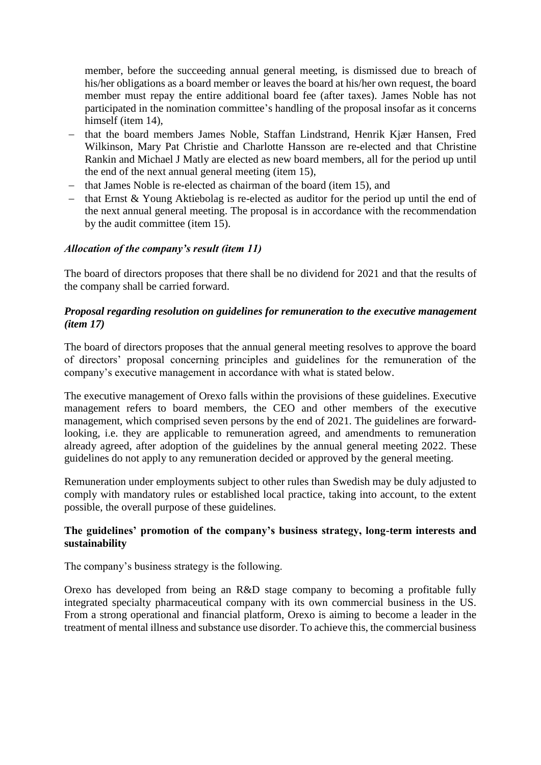member, before the succeeding annual general meeting, is dismissed due to breach of his/her obligations as a board member or leaves the board at his/her own request, the board member must repay the entire additional board fee (after taxes). James Noble has not participated in the nomination committee's handling of the proposal insofar as it concerns himself (item 14).

- that the board members James Noble, Staffan Lindstrand, Henrik Kjær Hansen, Fred Wilkinson, Mary Pat Christie and Charlotte Hansson are re-elected and that Christine Rankin and Michael J Matly are elected as new board members, all for the period up until the end of the next annual general meeting (item 15),
- that James Noble is re-elected as chairman of the board (item 15), and
- $-$  that Ernst & Young Aktiebolag is re-elected as auditor for the period up until the end of the next annual general meeting. The proposal is in accordance with the recommendation by the audit committee (item 15).

## *Allocation of the company's result (item 11)*

The board of directors proposes that there shall be no dividend for 2021 and that the results of the company shall be carried forward.

## *Proposal regarding resolution on guidelines for remuneration to the executive management (item 17)*

The board of directors proposes that the annual general meeting resolves to approve the board of directors' proposal concerning principles and guidelines for the remuneration of the company's executive management in accordance with what is stated below.

The executive management of Orexo falls within the provisions of these guidelines. Executive management refers to board members, the CEO and other members of the executive management, which comprised seven persons by the end of 2021. The guidelines are forwardlooking, i.e. they are applicable to remuneration agreed, and amendments to remuneration already agreed, after adoption of the guidelines by the annual general meeting 2022. These guidelines do not apply to any remuneration decided or approved by the general meeting.

Remuneration under employments subject to other rules than Swedish may be duly adjusted to comply with mandatory rules or established local practice, taking into account, to the extent possible, the overall purpose of these guidelines.

## **The guidelines' promotion of the company's business strategy, long-term interests and sustainability**

The company's business strategy is the following.

Orexo has developed from being an R&D stage company to becoming a profitable fully integrated specialty pharmaceutical company with its own commercial business in the US. From a strong operational and financial platform, Orexo is aiming to become a leader in the treatment of mental illness and substance use disorder. To achieve this, the commercial business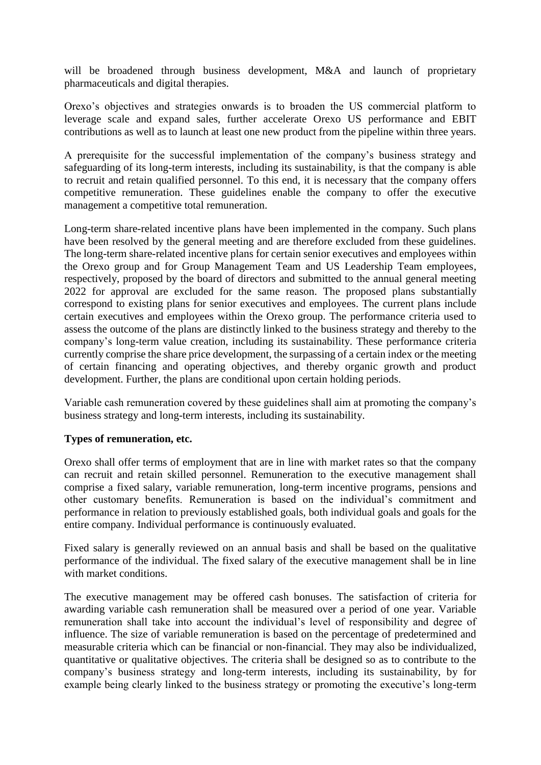will be broadened through business development, M&A and launch of proprietary pharmaceuticals and digital therapies.

Orexo's objectives and strategies onwards is to broaden the US commercial platform to leverage scale and expand sales, further accelerate Orexo US performance and EBIT contributions as well as to launch at least one new product from the pipeline within three years.

A prerequisite for the successful implementation of the company's business strategy and safeguarding of its long-term interests, including its sustainability, is that the company is able to recruit and retain qualified personnel. To this end, it is necessary that the company offers competitive remuneration. These guidelines enable the company to offer the executive management a competitive total remuneration.

Long-term share-related incentive plans have been implemented in the company. Such plans have been resolved by the general meeting and are therefore excluded from these guidelines. The long-term share-related incentive plans for certain senior executives and employees within the Orexo group and for Group Management Team and US Leadership Team employees, respectively, proposed by the board of directors and submitted to the annual general meeting 2022 for approval are excluded for the same reason. The proposed plans substantially correspond to existing plans for senior executives and employees. The current plans include certain executives and employees within the Orexo group. The performance criteria used to assess the outcome of the plans are distinctly linked to the business strategy and thereby to the company's long-term value creation, including its sustainability. These performance criteria currently comprise the share price development, the surpassing of a certain index or the meeting of certain financing and operating objectives, and thereby organic growth and product development. Further, the plans are conditional upon certain holding periods.

Variable cash remuneration covered by these guidelines shall aim at promoting the company's business strategy and long-term interests, including its sustainability.

#### **Types of remuneration, etc.**

Orexo shall offer terms of employment that are in line with market rates so that the company can recruit and retain skilled personnel. Remuneration to the executive management shall comprise a fixed salary, variable remuneration, long-term incentive programs, pensions and other customary benefits. Remuneration is based on the individual's commitment and performance in relation to previously established goals, both individual goals and goals for the entire company. Individual performance is continuously evaluated.

Fixed salary is generally reviewed on an annual basis and shall be based on the qualitative performance of the individual. The fixed salary of the executive management shall be in line with market conditions.

The executive management may be offered cash bonuses. The satisfaction of criteria for awarding variable cash remuneration shall be measured over a period of one year. Variable remuneration shall take into account the individual's level of responsibility and degree of influence. The size of variable remuneration is based on the percentage of predetermined and measurable criteria which can be financial or non-financial. They may also be individualized, quantitative or qualitative objectives. The criteria shall be designed so as to contribute to the company's business strategy and long-term interests, including its sustainability, by for example being clearly linked to the business strategy or promoting the executive's long-term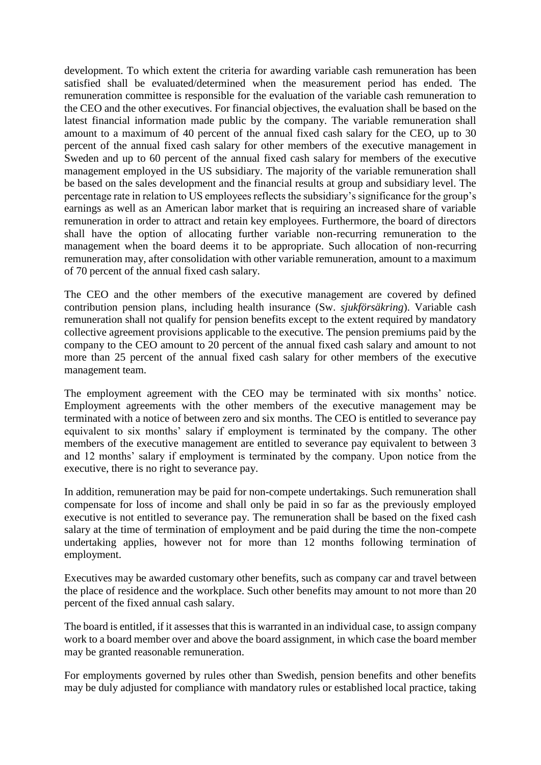development. To which extent the criteria for awarding variable cash remuneration has been satisfied shall be evaluated/determined when the measurement period has ended. The remuneration committee is responsible for the evaluation of the variable cash remuneration to the CEO and the other executives. For financial objectives, the evaluation shall be based on the latest financial information made public by the company. The variable remuneration shall amount to a maximum of 40 percent of the annual fixed cash salary for the CEO, up to 30 percent of the annual fixed cash salary for other members of the executive management in Sweden and up to 60 percent of the annual fixed cash salary for members of the executive management employed in the US subsidiary. The majority of the variable remuneration shall be based on the sales development and the financial results at group and subsidiary level. The percentage rate in relation to US employees reflects the subsidiary's significance for the group's earnings as well as an American labor market that is requiring an increased share of variable remuneration in order to attract and retain key employees. Furthermore, the board of directors shall have the option of allocating further variable non-recurring remuneration to the management when the board deems it to be appropriate. Such allocation of non-recurring remuneration may, after consolidation with other variable remuneration, amount to a maximum of 70 percent of the annual fixed cash salary.

The CEO and the other members of the executive management are covered by defined contribution pension plans, including health insurance (Sw. *sjukförsäkring*). Variable cash remuneration shall not qualify for pension benefits except to the extent required by mandatory collective agreement provisions applicable to the executive. The pension premiums paid by the company to the CEO amount to 20 percent of the annual fixed cash salary and amount to not more than 25 percent of the annual fixed cash salary for other members of the executive management team.

The employment agreement with the CEO may be terminated with six months' notice. Employment agreements with the other members of the executive management may be terminated with a notice of between zero and six months. The CEO is entitled to severance pay equivalent to six months' salary if employment is terminated by the company. The other members of the executive management are entitled to severance pay equivalent to between 3 and 12 months' salary if employment is terminated by the company. Upon notice from the executive, there is no right to severance pay.

In addition, remuneration may be paid for non-compete undertakings. Such remuneration shall compensate for loss of income and shall only be paid in so far as the previously employed executive is not entitled to severance pay. The remuneration shall be based on the fixed cash salary at the time of termination of employment and be paid during the time the non-compete undertaking applies, however not for more than 12 months following termination of employment.

Executives may be awarded customary other benefits, such as company car and travel between the place of residence and the workplace. Such other benefits may amount to not more than 20 percent of the fixed annual cash salary.

The board is entitled, if it assesses that this is warranted in an individual case, to assign company work to a board member over and above the board assignment, in which case the board member may be granted reasonable remuneration.

For employments governed by rules other than Swedish, pension benefits and other benefits may be duly adjusted for compliance with mandatory rules or established local practice, taking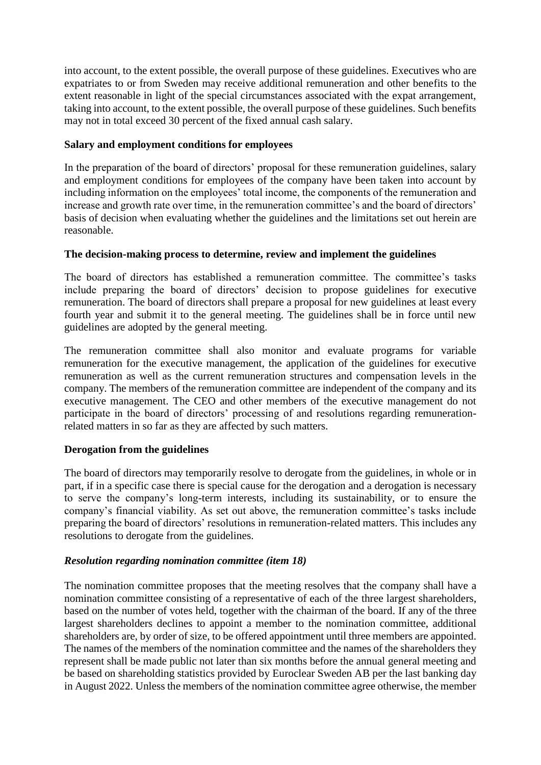into account, to the extent possible, the overall purpose of these guidelines. Executives who are expatriates to or from Sweden may receive additional remuneration and other benefits to the extent reasonable in light of the special circumstances associated with the expat arrangement, taking into account, to the extent possible, the overall purpose of these guidelines. Such benefits may not in total exceed 30 percent of the fixed annual cash salary.

## **Salary and employment conditions for employees**

In the preparation of the board of directors' proposal for these remuneration guidelines, salary and employment conditions for employees of the company have been taken into account by including information on the employees' total income, the components of the remuneration and increase and growth rate over time, in the remuneration committee's and the board of directors' basis of decision when evaluating whether the guidelines and the limitations set out herein are reasonable.

# **The decision-making process to determine, review and implement the guidelines**

The board of directors has established a remuneration committee. The committee's tasks include preparing the board of directors' decision to propose guidelines for executive remuneration. The board of directors shall prepare a proposal for new guidelines at least every fourth year and submit it to the general meeting. The guidelines shall be in force until new guidelines are adopted by the general meeting.

The remuneration committee shall also monitor and evaluate programs for variable remuneration for the executive management, the application of the guidelines for executive remuneration as well as the current remuneration structures and compensation levels in the company. The members of the remuneration committee are independent of the company and its executive management. The CEO and other members of the executive management do not participate in the board of directors' processing of and resolutions regarding remunerationrelated matters in so far as they are affected by such matters.

# **Derogation from the guidelines**

The board of directors may temporarily resolve to derogate from the guidelines, in whole or in part, if in a specific case there is special cause for the derogation and a derogation is necessary to serve the company's long-term interests, including its sustainability, or to ensure the company's financial viability. As set out above, the remuneration committee's tasks include preparing the board of directors' resolutions in remuneration-related matters. This includes any resolutions to derogate from the guidelines.

# *Resolution regarding nomination committee (item 18)*

The nomination committee proposes that the meeting resolves that the company shall have a nomination committee consisting of a representative of each of the three largest shareholders, based on the number of votes held, together with the chairman of the board. If any of the three largest shareholders declines to appoint a member to the nomination committee, additional shareholders are, by order of size, to be offered appointment until three members are appointed. The names of the members of the nomination committee and the names of the shareholders they represent shall be made public not later than six months before the annual general meeting and be based on shareholding statistics provided by Euroclear Sweden AB per the last banking day in August 2022. Unless the members of the nomination committee agree otherwise, the member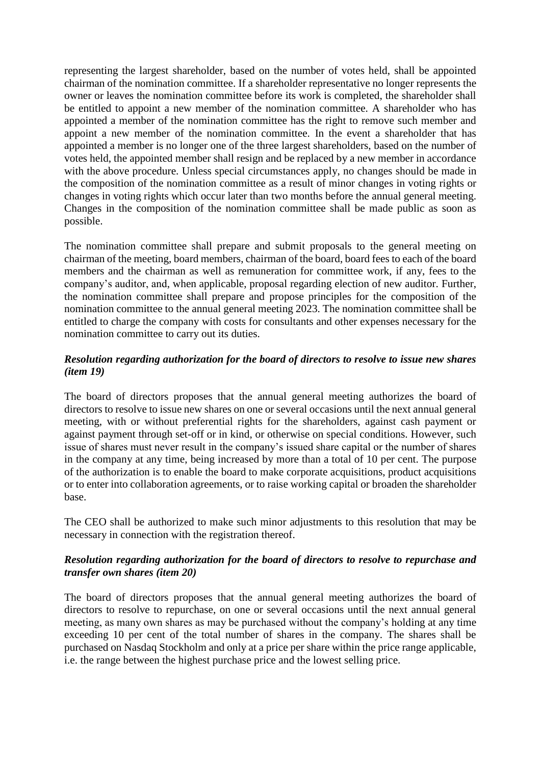representing the largest shareholder, based on the number of votes held, shall be appointed chairman of the nomination committee. If a shareholder representative no longer represents the owner or leaves the nomination committee before its work is completed, the shareholder shall be entitled to appoint a new member of the nomination committee. A shareholder who has appointed a member of the nomination committee has the right to remove such member and appoint a new member of the nomination committee. In the event a shareholder that has appointed a member is no longer one of the three largest shareholders, based on the number of votes held, the appointed member shall resign and be replaced by a new member in accordance with the above procedure. Unless special circumstances apply, no changes should be made in the composition of the nomination committee as a result of minor changes in voting rights or changes in voting rights which occur later than two months before the annual general meeting. Changes in the composition of the nomination committee shall be made public as soon as possible.

The nomination committee shall prepare and submit proposals to the general meeting on chairman of the meeting, board members, chairman of the board, board fees to each of the board members and the chairman as well as remuneration for committee work, if any, fees to the company's auditor, and, when applicable, proposal regarding election of new auditor. Further, the nomination committee shall prepare and propose principles for the composition of the nomination committee to the annual general meeting 2023. The nomination committee shall be entitled to charge the company with costs for consultants and other expenses necessary for the nomination committee to carry out its duties.

# *Resolution regarding authorization for the board of directors to resolve to issue new shares (item 19)*

The board of directors proposes that the annual general meeting authorizes the board of directors to resolve to issue new shares on one or several occasions until the next annual general meeting, with or without preferential rights for the shareholders, against cash payment or against payment through set-off or in kind, or otherwise on special conditions. However, such issue of shares must never result in the company's issued share capital or the number of shares in the company at any time, being increased by more than a total of 10 per cent. The purpose of the authorization is to enable the board to make corporate acquisitions, product acquisitions or to enter into collaboration agreements, or to raise working capital or broaden the shareholder base.

The CEO shall be authorized to make such minor adjustments to this resolution that may be necessary in connection with the registration thereof.

# *Resolution regarding authorization for the board of directors to resolve to repurchase and transfer own shares (item 20)*

The board of directors proposes that the annual general meeting authorizes the board of directors to resolve to repurchase, on one or several occasions until the next annual general meeting, as many own shares as may be purchased without the company's holding at any time exceeding 10 per cent of the total number of shares in the company. The shares shall be purchased on Nasdaq Stockholm and only at a price per share within the price range applicable, i.e. the range between the highest purchase price and the lowest selling price.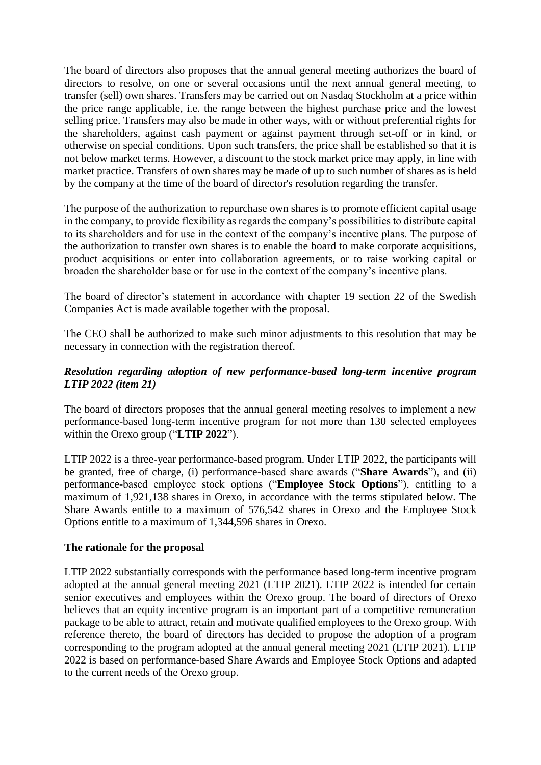The board of directors also proposes that the annual general meeting authorizes the board of directors to resolve, on one or several occasions until the next annual general meeting, to transfer (sell) own shares. Transfers may be carried out on Nasdaq Stockholm at a price within the price range applicable, i.e. the range between the highest purchase price and the lowest selling price. Transfers may also be made in other ways, with or without preferential rights for the shareholders, against cash payment or against payment through set-off or in kind, or otherwise on special conditions. Upon such transfers, the price shall be established so that it is not below market terms. However, a discount to the stock market price may apply, in line with market practice. Transfers of own shares may be made of up to such number of shares as is held by the company at the time of the board of director's resolution regarding the transfer.

The purpose of the authorization to repurchase own shares is to promote efficient capital usage in the company, to provide flexibility as regards the company's possibilities to distribute capital to its shareholders and for use in the context of the company's incentive plans. The purpose of the authorization to transfer own shares is to enable the board to make corporate acquisitions, product acquisitions or enter into collaboration agreements, or to raise working capital or broaden the shareholder base or for use in the context of the company's incentive plans.

The board of director's statement in accordance with chapter 19 section 22 of the Swedish Companies Act is made available together with the proposal.

The CEO shall be authorized to make such minor adjustments to this resolution that may be necessary in connection with the registration thereof.

# *Resolution regarding adoption of new performance-based long-term incentive program LTIP 2022 (item 21)*

The board of directors proposes that the annual general meeting resolves to implement a new performance-based long-term incentive program for not more than 130 selected employees within the Orexo group ("**LTIP 2022**").

LTIP 2022 is a three-year performance-based program. Under LTIP 2022, the participants will be granted, free of charge, (i) performance-based share awards ("**Share Awards**"), and (ii) performance-based employee stock options ("**Employee Stock Options**"), entitling to a maximum of 1,921,138 shares in Orexo, in accordance with the terms stipulated below. The Share Awards entitle to a maximum of 576,542 shares in Orexo and the Employee Stock Options entitle to a maximum of 1,344,596 shares in Orexo.

#### **The rationale for the proposal**

LTIP 2022 substantially corresponds with the performance based long-term incentive program adopted at the annual general meeting 2021 (LTIP 2021). LTIP 2022 is intended for certain senior executives and employees within the Orexo group. The board of directors of Orexo believes that an equity incentive program is an important part of a competitive remuneration package to be able to attract, retain and motivate qualified employees to the Orexo group. With reference thereto, the board of directors has decided to propose the adoption of a program corresponding to the program adopted at the annual general meeting 2021 (LTIP 2021). LTIP 2022 is based on performance-based Share Awards and Employee Stock Options and adapted to the current needs of the Orexo group.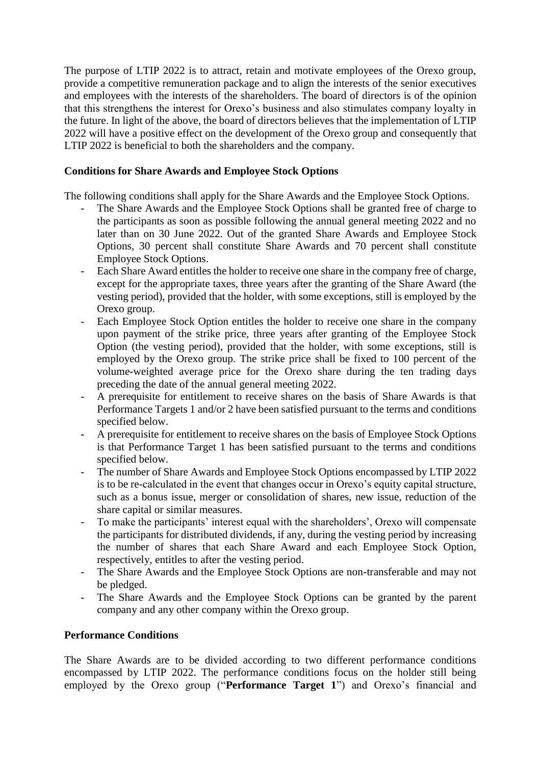The purpose of LTIP 2022 is to attract, retain and motivate employees of the Orexo group, provide a competitive remuneration package and to align the interests of the senior executives and employees with the interests of the shareholders. The board of directors is of the opinion that this strengthens the interest for Orexo's business and also stimulates company loyalty in the future. In light of the above, the board of directors believes that the implementation of LTIP 2022 will have a positive effect on the development of the Orexo group and consequently that LTIP 2022 is beneficial to both the shareholders and the company.

## **Conditions for Share Awards and Employee Stock Options**

The following conditions shall apply for the Share Awards and the Employee Stock Options.

- The Share Awards and the Employee Stock Options shall be granted free of charge to the participants as soon as possible following the annual general meeting 2022 and no later than on 30 June 2022. Out of the granted Share Awards and Employee Stock Options, 30 percent shall constitute Share Awards and 70 percent shall constitute Employee Stock Options.
- Each Share Award entitles the holder to receive one share in the company free of charge, except for the appropriate taxes, three years after the granting of the Share Award (the vesting period), provided that the holder, with some exceptions, still is employed by the Orexo group.
- Each Employee Stock Option entitles the holder to receive one share in the company upon payment of the strike price, three years after granting of the Employee Stock Option (the vesting period), provided that the holder, with some exceptions, still is employed by the Orexo group. The strike price shall be fixed to 100 percent of the volume-weighted average price for the Orexo share during the ten trading days preceding the date of the annual general meeting 2022.
- A prerequisite for entitlement to receive shares on the basis of Share Awards is that Performance Targets 1 and/or 2 have been satisfied pursuant to the terms and conditions specified below.
- A prerequisite for entitlement to receive shares on the basis of Employee Stock Options is that Performance Target 1 has been satisfied pursuant to the terms and conditions specified below.
- The number of Share Awards and Employee Stock Options encompassed by LTIP 2022 is to be re-calculated in the event that changes occur in Orexo's equity capital structure, such as a bonus issue, merger or consolidation of shares, new issue, reduction of the share capital or similar measures.
- To make the participants' interest equal with the shareholders', Orexo will compensate the participants for distributed dividends, if any, during the vesting period by increasing the number of shares that each Share Award and each Employee Stock Option, respectively, entitles to after the vesting period.
- The Share Awards and the Employee Stock Options are non-transferable and may not be pledged.
- The Share Awards and the Employee Stock Options can be granted by the parent company and any other company within the Orexo group.

#### **Performance Conditions**

The Share Awards are to be divided according to two different performance conditions encompassed by LTIP 2022. The performance conditions focus on the holder still being employed by the Orexo group ("**Performance Target 1**") and Orexo's financial and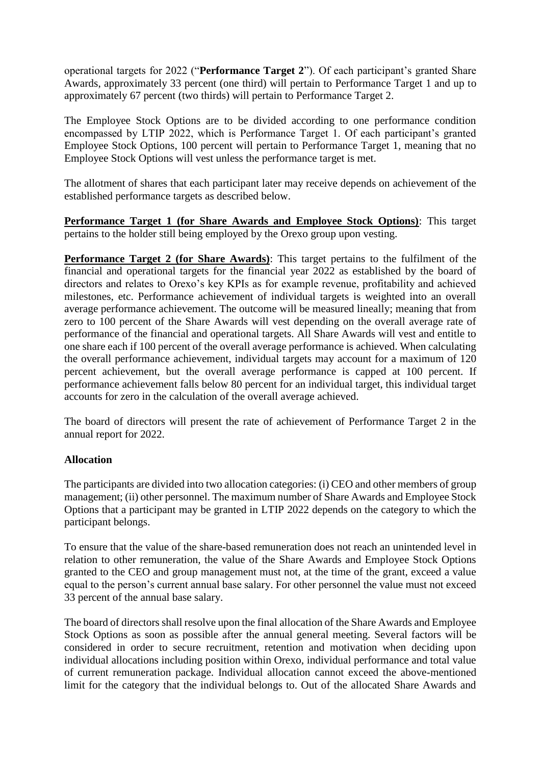operational targets for 2022 ("**Performance Target 2**"). Of each participant's granted Share Awards, approximately 33 percent (one third) will pertain to Performance Target 1 and up to approximately 67 percent (two thirds) will pertain to Performance Target 2.

The Employee Stock Options are to be divided according to one performance condition encompassed by LTIP 2022, which is Performance Target 1. Of each participant's granted Employee Stock Options, 100 percent will pertain to Performance Target 1, meaning that no Employee Stock Options will vest unless the performance target is met.

The allotment of shares that each participant later may receive depends on achievement of the established performance targets as described below.

**Performance Target 1 (for Share Awards and Employee Stock Options)**: This target pertains to the holder still being employed by the Orexo group upon vesting.

**Performance Target 2 (for Share Awards)**: This target pertains to the fulfilment of the financial and operational targets for the financial year 2022 as established by the board of directors and relates to Orexo's key KPIs as for example revenue, profitability and achieved milestones, etc. Performance achievement of individual targets is weighted into an overall average performance achievement. The outcome will be measured lineally; meaning that from zero to 100 percent of the Share Awards will vest depending on the overall average rate of performance of the financial and operational targets. All Share Awards will vest and entitle to one share each if 100 percent of the overall average performance is achieved. When calculating the overall performance achievement, individual targets may account for a maximum of 120 percent achievement, but the overall average performance is capped at 100 percent. If performance achievement falls below 80 percent for an individual target, this individual target accounts for zero in the calculation of the overall average achieved.

The board of directors will present the rate of achievement of Performance Target 2 in the annual report for 2022.

# **Allocation**

The participants are divided into two allocation categories: (i) CEO and other members of group management; (ii) other personnel. The maximum number of Share Awards and Employee Stock Options that a participant may be granted in LTIP 2022 depends on the category to which the participant belongs.

To ensure that the value of the share-based remuneration does not reach an unintended level in relation to other remuneration, the value of the Share Awards and Employee Stock Options granted to the CEO and group management must not, at the time of the grant, exceed a value equal to the person's current annual base salary. For other personnel the value must not exceed 33 percent of the annual base salary.

The board of directors shall resolve upon the final allocation of the Share Awards and Employee Stock Options as soon as possible after the annual general meeting. Several factors will be considered in order to secure recruitment, retention and motivation when deciding upon individual allocations including position within Orexo, individual performance and total value of current remuneration package. Individual allocation cannot exceed the above-mentioned limit for the category that the individual belongs to. Out of the allocated Share Awards and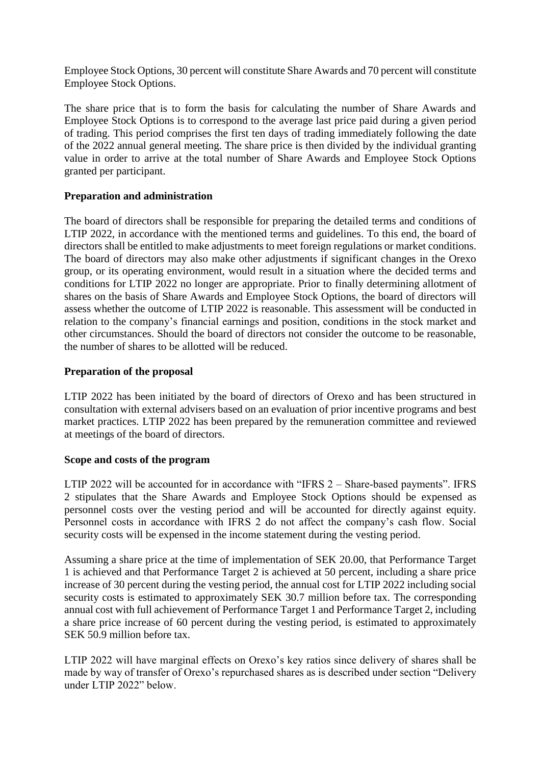Employee Stock Options, 30 percent will constitute Share Awards and 70 percent will constitute Employee Stock Options.

The share price that is to form the basis for calculating the number of Share Awards and Employee Stock Options is to correspond to the average last price paid during a given period of trading. This period comprises the first ten days of trading immediately following the date of the 2022 annual general meeting. The share price is then divided by the individual granting value in order to arrive at the total number of Share Awards and Employee Stock Options granted per participant.

# **Preparation and administration**

The board of directors shall be responsible for preparing the detailed terms and conditions of LTIP 2022, in accordance with the mentioned terms and guidelines. To this end, the board of directors shall be entitled to make adjustments to meet foreign regulations or market conditions. The board of directors may also make other adjustments if significant changes in the Orexo group, or its operating environment, would result in a situation where the decided terms and conditions for LTIP 2022 no longer are appropriate. Prior to finally determining allotment of shares on the basis of Share Awards and Employee Stock Options, the board of directors will assess whether the outcome of LTIP 2022 is reasonable. This assessment will be conducted in relation to the company's financial earnings and position, conditions in the stock market and other circumstances. Should the board of directors not consider the outcome to be reasonable, the number of shares to be allotted will be reduced.

## **Preparation of the proposal**

LTIP 2022 has been initiated by the board of directors of Orexo and has been structured in consultation with external advisers based on an evaluation of prior incentive programs and best market practices. LTIP 2022 has been prepared by the remuneration committee and reviewed at meetings of the board of directors.

#### **Scope and costs of the program**

LTIP 2022 will be accounted for in accordance with "IFRS 2 – Share-based payments". IFRS 2 stipulates that the Share Awards and Employee Stock Options should be expensed as personnel costs over the vesting period and will be accounted for directly against equity. Personnel costs in accordance with IFRS 2 do not affect the company's cash flow. Social security costs will be expensed in the income statement during the vesting period.

Assuming a share price at the time of implementation of SEK 20.00, that Performance Target 1 is achieved and that Performance Target 2 is achieved at 50 percent, including a share price increase of 30 percent during the vesting period, the annual cost for LTIP 2022 including social security costs is estimated to approximately SEK 30.7 million before tax. The corresponding annual cost with full achievement of Performance Target 1 and Performance Target 2, including a share price increase of 60 percent during the vesting period, is estimated to approximately SEK 50.9 million before tax.

LTIP 2022 will have marginal effects on Orexo's key ratios since delivery of shares shall be made by way of transfer of Orexo's repurchased shares as is described under section "Delivery under LTIP 2022" below.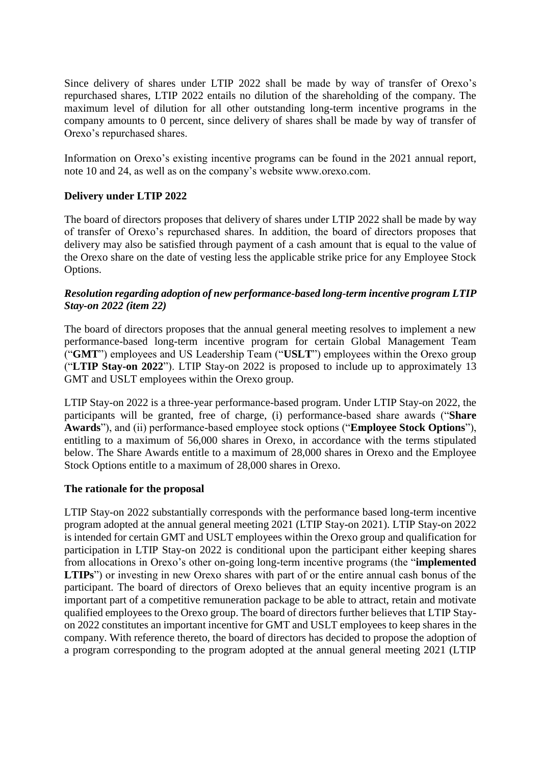Since delivery of shares under LTIP 2022 shall be made by way of transfer of Orexo's repurchased shares, LTIP 2022 entails no dilution of the shareholding of the company. The maximum level of dilution for all other outstanding long-term incentive programs in the company amounts to 0 percent, since delivery of shares shall be made by way of transfer of Orexo's repurchased shares.

Information on Orexo's existing incentive programs can be found in the 2021 annual report, note 10 and 24, as well as on the company's website www.orexo.com.

# **Delivery under LTIP 2022**

The board of directors proposes that delivery of shares under LTIP 2022 shall be made by way of transfer of Orexo's repurchased shares. In addition, the board of directors proposes that delivery may also be satisfied through payment of a cash amount that is equal to the value of the Orexo share on the date of vesting less the applicable strike price for any Employee Stock Options.

## *Resolution regarding adoption of new performance-based long-term incentive program LTIP Stay-on 2022 (item 22)*

The board of directors proposes that the annual general meeting resolves to implement a new performance-based long-term incentive program for certain Global Management Team ("**GMT**") employees and US Leadership Team ("**USLT**") employees within the Orexo group ("**LTIP Stay-on 2022**"). LTIP Stay-on 2022 is proposed to include up to approximately 13 GMT and USLT employees within the Orexo group.

LTIP Stay-on 2022 is a three-year performance-based program. Under LTIP Stay-on 2022, the participants will be granted, free of charge, (i) performance-based share awards ("**Share Awards**"), and (ii) performance-based employee stock options ("**Employee Stock Options**"), entitling to a maximum of 56,000 shares in Orexo, in accordance with the terms stipulated below. The Share Awards entitle to a maximum of 28,000 shares in Orexo and the Employee Stock Options entitle to a maximum of 28,000 shares in Orexo.

#### **The rationale for the proposal**

LTIP Stay-on 2022 substantially corresponds with the performance based long-term incentive program adopted at the annual general meeting 2021 (LTIP Stay-on 2021). LTIP Stay-on 2022 is intended for certain GMT and USLT employees within the Orexo group and qualification for participation in LTIP Stay-on 2022 is conditional upon the participant either keeping shares from allocations in Orexo's other on-going long-term incentive programs (the "**implemented LTIPs**") or investing in new Orexo shares with part of or the entire annual cash bonus of the participant. The board of directors of Orexo believes that an equity incentive program is an important part of a competitive remuneration package to be able to attract, retain and motivate qualified employees to the Orexo group. The board of directors further believes that LTIP Stayon 2022 constitutes an important incentive for GMT and USLT employees to keep shares in the company. With reference thereto, the board of directors has decided to propose the adoption of a program corresponding to the program adopted at the annual general meeting 2021 (LTIP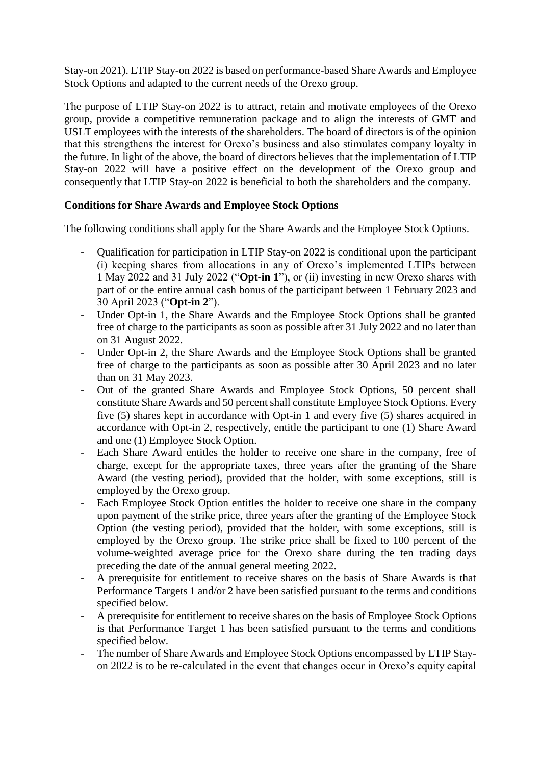Stay-on 2021). LTIP Stay-on 2022 is based on performance-based Share Awards and Employee Stock Options and adapted to the current needs of the Orexo group.

The purpose of LTIP Stay-on 2022 is to attract, retain and motivate employees of the Orexo group, provide a competitive remuneration package and to align the interests of GMT and USLT employees with the interests of the shareholders. The board of directors is of the opinion that this strengthens the interest for Orexo's business and also stimulates company loyalty in the future. In light of the above, the board of directors believes that the implementation of LTIP Stay-on 2022 will have a positive effect on the development of the Orexo group and consequently that LTIP Stay-on 2022 is beneficial to both the shareholders and the company.

# **Conditions for Share Awards and Employee Stock Options**

The following conditions shall apply for the Share Awards and the Employee Stock Options.

- Qualification for participation in LTIP Stay-on 2022 is conditional upon the participant (i) keeping shares from allocations in any of Orexo's implemented LTIPs between 1 May 2022 and 31 July 2022 ("**Opt-in 1**"), or (ii) investing in new Orexo shares with part of or the entire annual cash bonus of the participant between 1 February 2023 and 30 April 2023 ("**Opt-in 2**").
- Under Opt-in 1, the Share Awards and the Employee Stock Options shall be granted free of charge to the participants as soon as possible after 31 July 2022 and no later than on 31 August 2022.
- Under Opt-in 2, the Share Awards and the Employee Stock Options shall be granted free of charge to the participants as soon as possible after 30 April 2023 and no later than on 31 May 2023.
- Out of the granted Share Awards and Employee Stock Options, 50 percent shall constitute Share Awards and 50 percent shall constitute Employee Stock Options. Every five (5) shares kept in accordance with Opt-in 1 and every five (5) shares acquired in accordance with Opt-in 2, respectively, entitle the participant to one (1) Share Award and one (1) Employee Stock Option.
- Each Share Award entitles the holder to receive one share in the company, free of charge, except for the appropriate taxes, three years after the granting of the Share Award (the vesting period), provided that the holder, with some exceptions, still is employed by the Orexo group.
- Each Employee Stock Option entitles the holder to receive one share in the company upon payment of the strike price, three years after the granting of the Employee Stock Option (the vesting period), provided that the holder, with some exceptions, still is employed by the Orexo group. The strike price shall be fixed to 100 percent of the volume-weighted average price for the Orexo share during the ten trading days preceding the date of the annual general meeting 2022.
- A prerequisite for entitlement to receive shares on the basis of Share Awards is that Performance Targets 1 and/or 2 have been satisfied pursuant to the terms and conditions specified below.
- A prerequisite for entitlement to receive shares on the basis of Employee Stock Options is that Performance Target 1 has been satisfied pursuant to the terms and conditions specified below.
- The number of Share Awards and Employee Stock Options encompassed by LTIP Stayon 2022 is to be re-calculated in the event that changes occur in Orexo's equity capital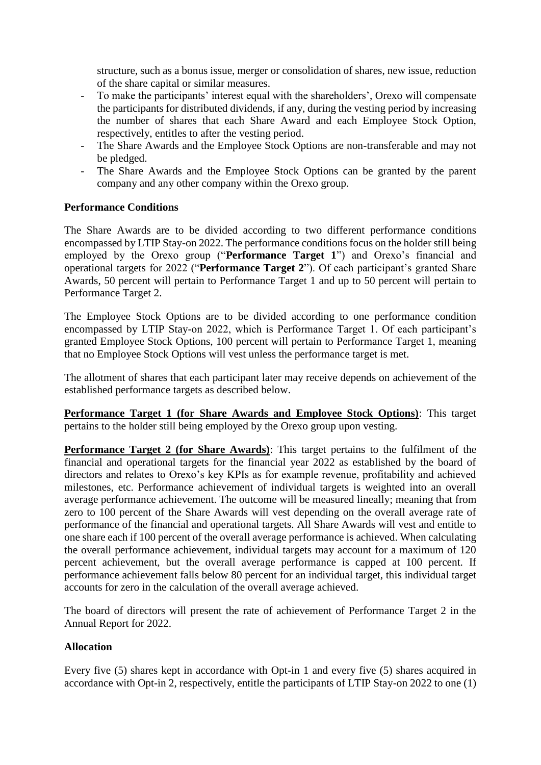structure, such as a bonus issue, merger or consolidation of shares, new issue, reduction of the share capital or similar measures.

- To make the participants' interest equal with the shareholders', Orexo will compensate the participants for distributed dividends, if any, during the vesting period by increasing the number of shares that each Share Award and each Employee Stock Option, respectively, entitles to after the vesting period.
- The Share Awards and the Employee Stock Options are non-transferable and may not be pledged.
- The Share Awards and the Employee Stock Options can be granted by the parent company and any other company within the Orexo group.

## **Performance Conditions**

The Share Awards are to be divided according to two different performance conditions encompassed by LTIP Stay-on 2022. The performance conditions focus on the holder still being employed by the Orexo group ("**Performance Target 1**") and Orexo's financial and operational targets for 2022 ("**Performance Target 2**"). Of each participant's granted Share Awards, 50 percent will pertain to Performance Target 1 and up to 50 percent will pertain to Performance Target 2.

The Employee Stock Options are to be divided according to one performance condition encompassed by LTIP Stay-on 2022, which is Performance Target 1. Of each participant's granted Employee Stock Options, 100 percent will pertain to Performance Target 1, meaning that no Employee Stock Options will vest unless the performance target is met.

The allotment of shares that each participant later may receive depends on achievement of the established performance targets as described below.

**Performance Target 1 (for Share Awards and Employee Stock Options)**: This target pertains to the holder still being employed by the Orexo group upon vesting.

**Performance Target 2 (for Share Awards)**: This target pertains to the fulfilment of the financial and operational targets for the financial year 2022 as established by the board of directors and relates to Orexo's key KPIs as for example revenue, profitability and achieved milestones, etc. Performance achievement of individual targets is weighted into an overall average performance achievement. The outcome will be measured lineally; meaning that from zero to 100 percent of the Share Awards will vest depending on the overall average rate of performance of the financial and operational targets. All Share Awards will vest and entitle to one share each if 100 percent of the overall average performance is achieved. When calculating the overall performance achievement, individual targets may account for a maximum of 120 percent achievement, but the overall average performance is capped at 100 percent. If performance achievement falls below 80 percent for an individual target, this individual target accounts for zero in the calculation of the overall average achieved.

The board of directors will present the rate of achievement of Performance Target 2 in the Annual Report for 2022.

# **Allocation**

Every five (5) shares kept in accordance with Opt-in 1 and every five (5) shares acquired in accordance with Opt-in 2, respectively, entitle the participants of LTIP Stay-on 2022 to one (1)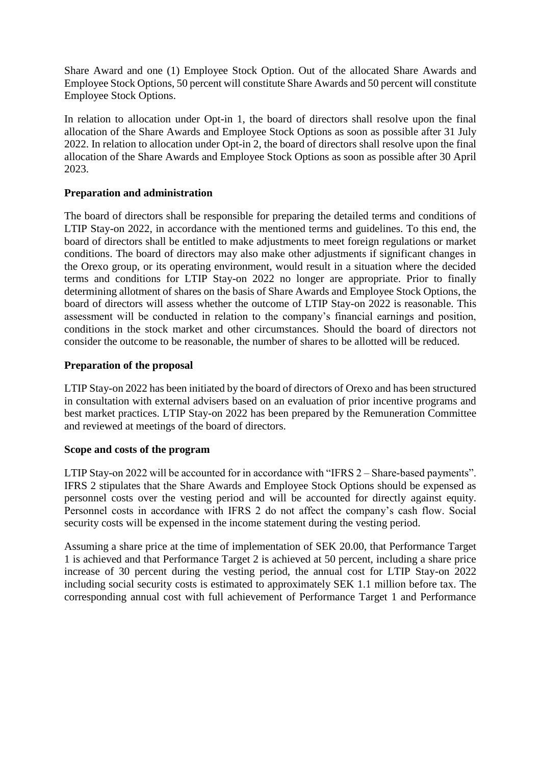Share Award and one (1) Employee Stock Option. Out of the allocated Share Awards and Employee Stock Options, 50 percent will constitute Share Awards and 50 percent will constitute Employee Stock Options.

In relation to allocation under Opt-in 1, the board of directors shall resolve upon the final allocation of the Share Awards and Employee Stock Options as soon as possible after 31 July 2022. In relation to allocation under Opt-in 2, the board of directors shall resolve upon the final allocation of the Share Awards and Employee Stock Options as soon as possible after 30 April 2023.

## **Preparation and administration**

The board of directors shall be responsible for preparing the detailed terms and conditions of LTIP Stay-on 2022, in accordance with the mentioned terms and guidelines. To this end, the board of directors shall be entitled to make adjustments to meet foreign regulations or market conditions. The board of directors may also make other adjustments if significant changes in the Orexo group, or its operating environment, would result in a situation where the decided terms and conditions for LTIP Stay-on 2022 no longer are appropriate. Prior to finally determining allotment of shares on the basis of Share Awards and Employee Stock Options, the board of directors will assess whether the outcome of LTIP Stay-on 2022 is reasonable. This assessment will be conducted in relation to the company's financial earnings and position, conditions in the stock market and other circumstances. Should the board of directors not consider the outcome to be reasonable, the number of shares to be allotted will be reduced.

## **Preparation of the proposal**

LTIP Stay-on 2022 has been initiated by the board of directors of Orexo and has been structured in consultation with external advisers based on an evaluation of prior incentive programs and best market practices. LTIP Stay-on 2022 has been prepared by the Remuneration Committee and reviewed at meetings of the board of directors.

#### **Scope and costs of the program**

LTIP Stay-on 2022 will be accounted for in accordance with "IFRS 2 – Share-based payments". IFRS 2 stipulates that the Share Awards and Employee Stock Options should be expensed as personnel costs over the vesting period and will be accounted for directly against equity. Personnel costs in accordance with IFRS 2 do not affect the company's cash flow. Social security costs will be expensed in the income statement during the vesting period.

Assuming a share price at the time of implementation of SEK 20.00, that Performance Target 1 is achieved and that Performance Target 2 is achieved at 50 percent, including a share price increase of 30 percent during the vesting period, the annual cost for LTIP Stay-on 2022 including social security costs is estimated to approximately SEK 1.1 million before tax. The corresponding annual cost with full achievement of Performance Target 1 and Performance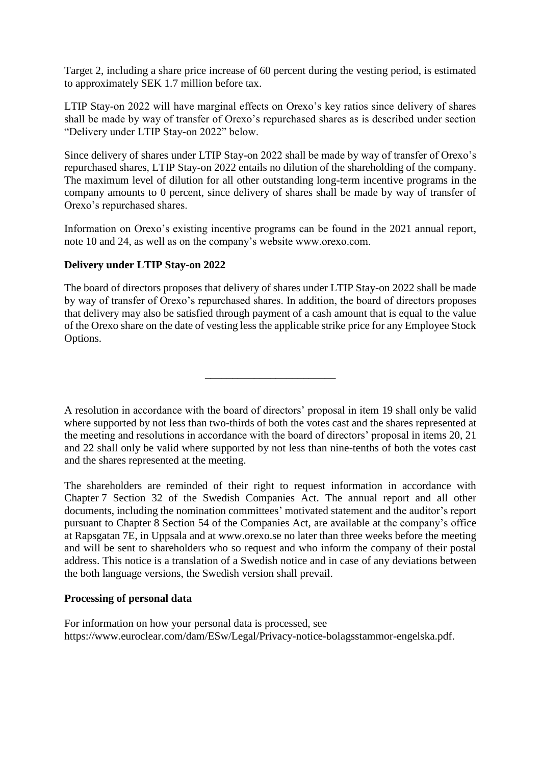Target 2, including a share price increase of 60 percent during the vesting period, is estimated to approximately SEK 1.7 million before tax.

LTIP Stay-on 2022 will have marginal effects on Orexo's key ratios since delivery of shares shall be made by way of transfer of Orexo's repurchased shares as is described under section "Delivery under LTIP Stay-on 2022" below.

Since delivery of shares under LTIP Stay-on 2022 shall be made by way of transfer of Orexo's repurchased shares, LTIP Stay-on 2022 entails no dilution of the shareholding of the company. The maximum level of dilution for all other outstanding long-term incentive programs in the company amounts to 0 percent, since delivery of shares shall be made by way of transfer of Orexo's repurchased shares.

Information on Orexo's existing incentive programs can be found in the 2021 annual report, note 10 and 24, as well as on the company's website www.orexo.com.

# **Delivery under LTIP Stay-on 2022**

The board of directors proposes that delivery of shares under LTIP Stay-on 2022 shall be made by way of transfer of Orexo's repurchased shares. In addition, the board of directors proposes that delivery may also be satisfied through payment of a cash amount that is equal to the value of the Orexo share on the date of vesting less the applicable strike price for any Employee Stock Options.

\_\_\_\_\_\_\_\_\_\_\_\_\_\_\_\_\_\_\_\_\_\_\_\_

A resolution in accordance with the board of directors' proposal in item 19 shall only be valid where supported by not less than two-thirds of both the votes cast and the shares represented at the meeting and resolutions in accordance with the board of directors' proposal in items 20, 21 and 22 shall only be valid where supported by not less than nine-tenths of both the votes cast and the shares represented at the meeting.

The shareholders are reminded of their right to request information in accordance with Chapter 7 Section 32 of the Swedish Companies Act. The annual report and all other documents, including the nomination committees' motivated statement and the auditor's report pursuant to Chapter 8 Section 54 of the Companies Act, are available at the company's office at Rapsgatan 7E, in Uppsala and at www.orexo.se no later than three weeks before the meeting and will be sent to shareholders who so request and who inform the company of their postal address. This notice is a translation of a Swedish notice and in case of any deviations between the both language versions, the Swedish version shall prevail.

#### **Processing of personal data**

For information on how your personal data is processed, see https://www.euroclear.com/dam/ESw/Legal/Privacy-notice-bolagsstammor-engelska.pdf.